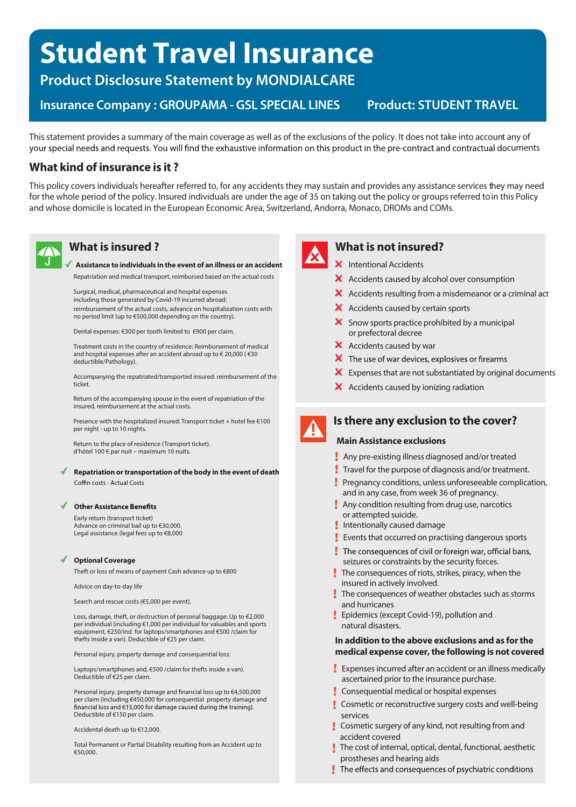# **Student Travel Insurance**

**Product Disclosure Statement by MONDIALCARE**

**Insurance Company: GROUPAMA - GSL SPECIAL LINES Product: STUDENT TRAVEL** 

This statement provides a summary of the main coverage as well as of the exclusions of the policy. It does not take into account any of your special needs and requests. You will find the exhaustive information on this product in the pre-contract and contractual documents

# **What kind of insurance is it ?**

This policy covers individuals hereafter referred to, for any accidents they may sustain and provides any assistance services they may need for the whole period of the policy. Insured individuals are under the age of 35 on taking out the policy or groups referred toin this Policy and whose domicile is located in the European Economic Area, Switzerland, Andorra, Monaco, DROMs and COMs.

# **What is insured ?**

#### **Assistance to individuals in the event of an illness or an accident** Repatriation and medical transport, reimbursed based on the actual costs

Surgical, medical, pharmaceutical and hospital expenses including those generated by Covid-19 incurred abroad:

reimbursement of the actual costs, advance on hospitalization costs with no period limit (up to €500,000 depending on the country).

Dental expenses: €300 per tooth limited to €900 per claim.

Treatment costs in the country of residence: Reimbursement of medical and hospital expenses after an accident abroad up to € 20,000 ( €30 deductible/Pathology).

Accompanying the repatriated/transported insured: reimbursement of the ticket.

Return of the accompanying spouse in the event of repatriation of the insured, reimbursement at the actual costs.

Presence with the hospitalized insured: Transport ticket + hotel fee €100 per night - up to 10 nights.

Return to the place of residence (Transport ticket). d'hôtel 100 € par nuit – maximum 10 nuits.

#### **Repatriation ortransportation of the body in the event of death** Coffin costs - Actual Costs

#### Other Assistance Benefits

Early return (transport ticket) Advance on criminal bail up to €30,000. Legal assistance (legal fees up to €8,000

#### **Optional Coverage**

Theft or loss of means of payment Cash advance up to €800

Advice on day-to-day life

Search and rescue costs (€5,000 per event).

Loss, damage, theft, or destruction of personal baggage: Up to €2,000 per individual (including €1,000 per individual for valuables and sports equipment, €250/ind. for laptops/smartphones and €500 /claim for thefts inside a van). Deductible of €25 per claim.

Personal injury, property damage and consequential loss:

Laptops/smartphones and, €500 /claim for thefts inside a van). Deductible of €25 per claim.

Personal injury, property damage and financial loss up to €4,500,000 per claim (including €450,000 for consequential property damage and financial loss and €15,000 for damage caused during the training). Deductible of €150 per claim.

Accidental death up to €12,000.

Total Permanent or Partial Disability resulting from an Accident up to €50,000.



# **What is not insured?**

- X Intentional Accidents
- X Accidents caused by alcohol over consumption
- $\boldsymbol{\times}$  Accidents resulting from a misdemeanor or a criminal act
- $\boldsymbol{\times}$  Accidents caused by certain sports
- $\boldsymbol{\times}$  Snow sports practice prohibited by a municipal or prefectoral decree
- $\boldsymbol{\times}$  Accidents caused by war
- $\boldsymbol{\times}$  The use of war devices, explosives or firearms
- $\boldsymbol{\times}$  Expenses that are not substantiated by original documents
- $\boldsymbol{\times}$  Accidents caused by ionizing radiation



# **Is there any exclusion to the cover?**

#### **Main Assistance exclusions**

- **Any pre-existing illness diagnosed and/or treated**
- Travel for the purpose of diagnosis and/or treatment.
- Pregnancy conditions, unless unforeseeable complication, and in any case, from week 36 of pregnancy.
- **Any condition resulting from drug use, narcotics** or attempted suicide.
- Intentionally caused damage
- Events that occurred on practising dangerous sports
- The consequences of civil or foreign war, official bans, seizures or constraints by the security forces.
- The consequences of riots, strikes, piracy, when the insured in actively involved.
- $\frac{1}{2}$  The consequences of weather obstacles such as storms and hurricanes
- **Epidemics (except Covid-19), pollution and** natural disasters.

#### **In addition to the above exclusions and as for the medical expense cover, the following is not covered**

- Expenses incurred after an accident or an illness medically ascertained prior to the insurance purchase.
- **Consequential medical or hospital expenses**
- **Cosmetic or reconstructive surgery costs and well-being** services
- **Cosmetic surgery of any kind, not resulting from and** accident covered
- The cost of internal, optical, dental, functional, aesthetic prostheses and hearing aids
- The effects and consequences of psychiatric conditions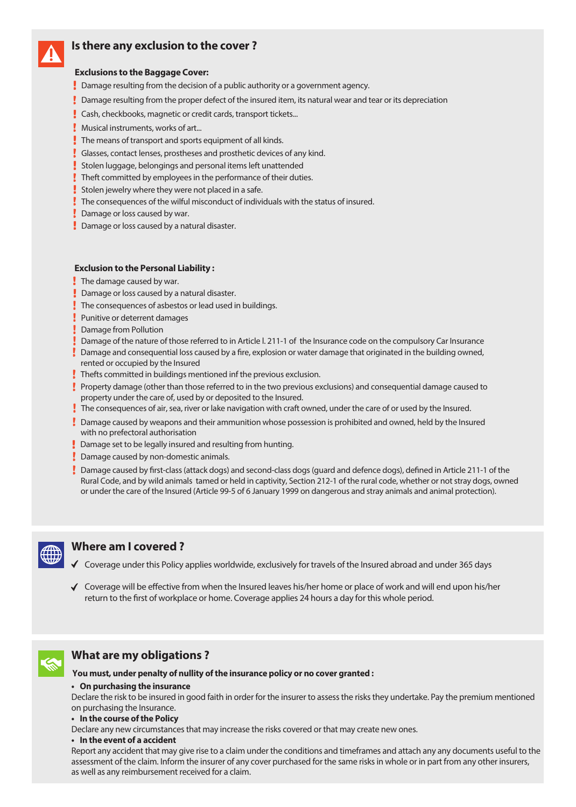

# **Is there any exclusion to the cover ?**

## **Exclusions to the Baggage Cover:**

- Damage resulting from the decision of a public authority or a government agency.
- Damage resulting from the proper defect of the insured item, its natural wear and tear or its depreciation
- **Cash, checkbooks, magnetic or credit cards, transport tickets...**
- **Musical instruments, works of art...**
- The means of transport and sports equipment of all kinds.
- Glasses, contact lenses, prostheses and prosthetic devices of any kind.
- Stolen luggage, belongings and personal items left unattended
- Theft committed by employees in the performance of their duties.
- Stolen jewelry where they were not placed in a safe.
- The consequences of the wilful misconduct of individuals with the status of insured.
- **Damage or loss caused by war.**
- **Damage or loss caused by a natural disaster.**

### **Exclusion to the Personal Liability :**

- $\sqrt{\phantom{a}}$  The damage caused by war.
- Damage or loss caused by a natural disaster.
- The consequences of asbestos or lead used in buildings.
- **Punitive or deterrent damages**
- **Damage from Pollution**
- Damage of the nature of those referred to in Article l. 211-1 of the Insurance code on the compulsory Car Insurance
- Damage and consequential loss caused by a fire, explosion or water damage that originated in the building owned, rented or occupied by the Insured
- Thefts committed in buildings mentioned inf the previous exclusion.
- Property damage (other than those referred to in the two previous exclusions) and consequential damage caused to property under the care of, used by or deposited to the Insured.
- The consequences of air, sea, river or lake navigation with craft owned, under the care of or used by the Insured.
- Damage caused by weapons and their ammunition whose possession is prohibited and owned, held by the Insured with no prefectoral authorisation
- Damage set to be legally insured and resulting from hunting.
- **Damage caused by non-domestic animals.**
- Damage caused by first-class (attack dogs) and second-class dogs (guard and defence dogs), defined in Article 211-1 of the Rural Code, and by wild animals tamed or held in captivity, Section 212-1 of the rural code, whether or not stray dogs, owned or under the care of the Insured (Article 99-5 of 6 January 1999 on dangerous and stray animals and animal protection).



## **Where am I covered ?**

- $\checkmark$  Coverage under this Policy applies worldwide, exclusively for travels of the Insured abroad and under 365 days
- $\checkmark$  Coverage will be effective from when the Insured leaves his/her home or place of work and will end upon his/her return to the first of workplace or home. Coverage applies 24 hours a day for this whole period.



# **What are my obligations ?**

**You must, under penalty of nullity of the insurance policy or no cover granted :**

#### **• On purchasing the insurance**

Declare the risk to be insured in good faith in order for the insurer to assess the risks they undertake. Pay the premium mentioned on purchasing the Insurance.

**• In the course of the Policy**

Declare any new circumstances that may increase the risks covered or that may create new ones.

**• In the event of a accident**

Report any accident that may give rise to a claim under the conditions and timeframes and attach any any documents useful to the assessment of the claim. Inform the insurer of any cover purchased for the same risks in whole or in part from any other insurers, as well as any reimbursement received for a claim.